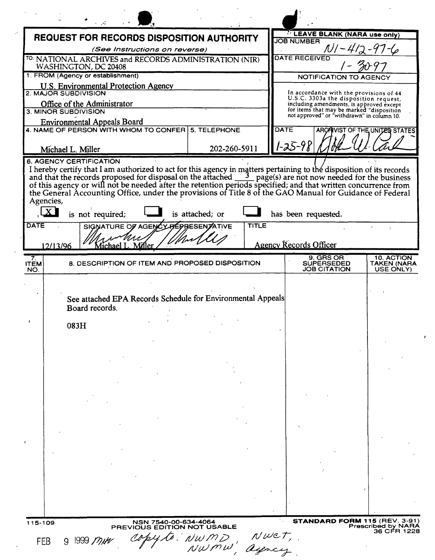|                          | <b>REQUEST FOR RECORDS DISPOSITION AUTHORITY</b>                                                                                                                                                                                                  |                 | <b>LEAVE BLANK (NARA use only)</b><br><b>JOB NUMBER</b> |             |                                                                                                                              |                                               |  |
|--------------------------|---------------------------------------------------------------------------------------------------------------------------------------------------------------------------------------------------------------------------------------------------|-----------------|---------------------------------------------------------|-------------|------------------------------------------------------------------------------------------------------------------------------|-----------------------------------------------|--|
|                          | (See Instructions on reverse)                                                                                                                                                                                                                     |                 |                                                         |             |                                                                                                                              |                                               |  |
|                          | TO: NATIONAL ARCHIVES and RECORDS ADMINISTRATION (NIR)<br>WASHINGTON, DC 20408                                                                                                                                                                    |                 | <b>DATE RECEIVED</b>                                    |             |                                                                                                                              |                                               |  |
|                          | 1. FROM (Agency or establishment)                                                                                                                                                                                                                 |                 | <b>NOTIFICATION TO AGENCY</b>                           |             |                                                                                                                              |                                               |  |
|                          | <b>U.S. Environmental Protection Agency</b>                                                                                                                                                                                                       |                 |                                                         |             |                                                                                                                              |                                               |  |
|                          | 2. MAJOR SUBDIVISION<br>Office of the Administrator                                                                                                                                                                                               |                 |                                                         |             | In accordance with the provisions of 44<br>U.S.C. 3303a the disposition request,<br>including amendments, is approved except |                                               |  |
|                          | 3. MINOR SUBDIVISION                                                                                                                                                                                                                              |                 |                                                         |             | for items that may be marked "disposition<br>not approved" or "withdrawn" in column 10.                                      |                                               |  |
|                          | <b>Environmental Appeals Board</b><br>4. NAME OF PERSON WITH WHOM TO CONFER 5. TELEPHONE                                                                                                                                                          |                 |                                                         | <b>DATE</b> |                                                                                                                              |                                               |  |
|                          |                                                                                                                                                                                                                                                   |                 |                                                         |             |                                                                                                                              | <b>ARCAIVIST OF THE UNITED STATES</b>         |  |
|                          | Michael L. Miller                                                                                                                                                                                                                                 |                 | 202-260-5911                                            |             | $1 - 25 - 9$                                                                                                                 |                                               |  |
| Agencies,                | and that the records proposed for disposal on the attached and that the records proposed for disposal on the attached and that written concurrence from the General Accounting Office, under the provisions of Title 8 of the<br>is not required; | is attached; or |                                                         |             | has been requested.                                                                                                          |                                               |  |
| <b>DATE</b>              | SIGNATURE OF AGENCY REPRESENTATIVE                                                                                                                                                                                                                |                 | <b>TITLE</b>                                            |             |                                                                                                                              |                                               |  |
|                          | 12/13/96<br>Michael L.<br>Mullei                                                                                                                                                                                                                  |                 |                                                         |             | <b>Agency Records Officer</b>                                                                                                |                                               |  |
| 7.<br><b>ITEM</b><br>NO. | 8. DESCRIPTION OF ITEM AND PROPOSED DISPOSITION                                                                                                                                                                                                   |                 |                                                         |             | 9. GRS OR<br><b>SUPERSEDED</b><br>JOB CITATION                                                                               | 10. ACTION<br><b>TAKEN (NARA</b><br>USE ONLY) |  |
|                          |                                                                                                                                                                                                                                                   |                 |                                                         |             |                                                                                                                              |                                               |  |
|                          | See attached EPA Records Schedule for Environmental Appeals<br>Board records.                                                                                                                                                                     |                 |                                                         |             |                                                                                                                              |                                               |  |
| $\mathbf{r}$             |                                                                                                                                                                                                                                                   |                 |                                                         |             |                                                                                                                              |                                               |  |
|                          | 083H                                                                                                                                                                                                                                              |                 |                                                         |             |                                                                                                                              |                                               |  |
|                          |                                                                                                                                                                                                                                                   |                 |                                                         |             |                                                                                                                              |                                               |  |
|                          |                                                                                                                                                                                                                                                   |                 |                                                         |             |                                                                                                                              |                                               |  |
|                          |                                                                                                                                                                                                                                                   |                 |                                                         |             |                                                                                                                              |                                               |  |
|                          |                                                                                                                                                                                                                                                   |                 |                                                         |             |                                                                                                                              |                                               |  |
|                          |                                                                                                                                                                                                                                                   |                 |                                                         |             |                                                                                                                              |                                               |  |
|                          |                                                                                                                                                                                                                                                   |                 |                                                         |             |                                                                                                                              |                                               |  |
|                          |                                                                                                                                                                                                                                                   |                 |                                                         |             |                                                                                                                              |                                               |  |
|                          |                                                                                                                                                                                                                                                   |                 |                                                         |             |                                                                                                                              |                                               |  |
|                          |                                                                                                                                                                                                                                                   |                 |                                                         |             |                                                                                                                              |                                               |  |
|                          |                                                                                                                                                                                                                                                   |                 |                                                         |             |                                                                                                                              |                                               |  |
|                          |                                                                                                                                                                                                                                                   |                 |                                                         |             |                                                                                                                              |                                               |  |
|                          |                                                                                                                                                                                                                                                   |                 |                                                         |             |                                                                                                                              |                                               |  |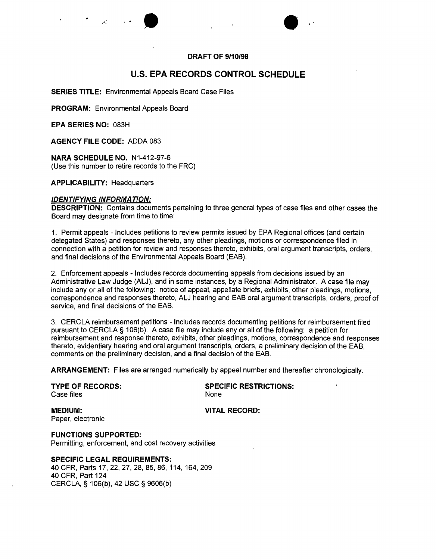



# **u.s. EPA RECORDS CONTROL SCHEDULE**

**SERIES TITLE:** Environmental Appeals Board Case Files

**PROGRAM:** Environmental Appeals Board

**EPA SERIES NO:** 083H

**AGENCY FILE CODE:** ADDA 083

**NARA SCHEDULE NO.** N1-412-97-6 (Use this number to retire records to the FRC)

### **APPLICABILITY:** Headquarters

### *IDENTIFYING INFORMATION:*

**DESCRIPTION:** Contains documents pertaining to three general types of case files and other cases the Board may designate from time to time:

1. Permit appeals - Includes petitions to review permits issued by EPA Regional offices (and certain delegated States) and responses thereto, any other pleadings, motions or correspondence filed in connection with a petition for review and responses thereto, exhibits, oral argument transcripts, orders, and final decisions of the Environmental Appeals Board (EAB).

2. Enforcement appeals - Includes records documenting appeals from decisions issued by an Administrative Law Judge (ALJ), and in some instances, by a Regional Administrator. A case file may include any or all of the following: notice of appeal, appellate briefs, exhibits, other pleadings, motions, correspondence and responses thereto, ALJ hearing and EAB oral argument transcripts, orders, proof of service, and final decisions of the EAB.

3. CERCLA reimbursement petitions - Includes records documenting petitions for reimbursement filed pursuant to CERCLA § 106(b). A case file may include any or all of the following: a petition for reimbursement and response thereto, exhibits, other pleadings, motions, correspondence and responses thereto, evidentiary hearing and oral argument transcripts, orders, a preliminary decision of the EAB, comments on the preliminary decision, and a final decision of the EAB.

**ARRANGEMENT:** Files are arranged numerically by appeal number and thereafter chronologically.

Case files **None** None

**TYPE OF RECORDS: SPECIFIC RESTRICTIONS:**

Paper, electronic

**MEDIUM: VITAL RECORD:**

**FUNCTIONS SUPPORTED:** Permitting, enforcement, and cost recovery activities

**SPECIFIC LEGAL REQUIREMENTS:**

40 CFR, Parts 17, 22, 27, 28, 85, 86, 114, 164, 209 40 CFR, Part 124 CERCLA, § 106(b), 42 USC § 9606(b)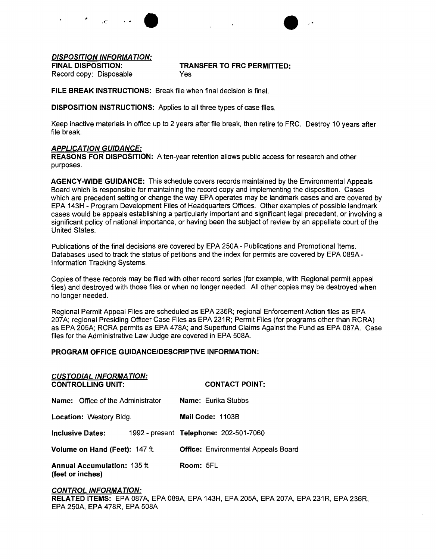,  $\mathbf{r}$  ,  $\mathbf{r}$  ,  $\mathbf{r}$ •



### *DISPOSITION INFORMATION:*

## FINAL DISPOSITION: TRANSFER TO FRC PERMITTED:

Record copy: Disposable **Yes** 

FILE BREAK INSTRUCTIONS: Break file when final decision is final.

DISPOSITION INSTRUCTIONS: Applies to all three types of case files.

Keep inactive materials in office up to 2 years after file break, then retire to FRC. Destroy 10 years after file break.

## *APPLICA TION GUIDANCE:*

REASONS FOR DISPOSITION: A ten-year retention allows public access for research and other purposes.

AGENCY-WIDE GUIDANCE: This schedule covers records maintained by the Environmental Appeals Board which is responsible for maintaining the record copy and implementing the disposition. Cases which are precedent setting or change the way EPA operates may be landmark cases and are covered by EPA 143H - Program Development Files of Headquarters Offices. Other examples of possible landmark cases would be appeals establishing a particularly important and Significant legal precedent, or involving a significant policy of national importance, or having been the subject of review by an appellate court of the United States.

Publications of the final decisions are covered by EPA 250A - Publications and Promotional Items. Databases used to track the status of petitions and the index for permits are covered by EPA 089A-Information Tracking Systems.

Copies of these records may be filed with other record series (for example, with Regional permit appeal files) and destroyed with those files or when no lonqer needed. All other copies may be destroyed when no longer needed.

Regional Permit Appeal Files are scheduled as EPA 236R; regional Enforcement Action files as EPA 207A; regional Presiding Officer Case Files as EPA 231R; Permit Files (for programs other than RCRA) as EPA 205A; RCRA permits as EPA 478A; and Superfund Claims Against the Fund as EPA 087A. Case files for the Administrative Law Judge are covered in EPA 508A.

### PROGRAM OFFICE GUIDANCE/DESCRIPTIVE INFORMATION:

| <b>CUSTODIAL INFORMATION:</b><br><b>CONTROLLING UNIT:</b> | <b>CONTACT POINT:</b>                      |  |  |  |  |
|-----------------------------------------------------------|--------------------------------------------|--|--|--|--|
| <b>Name:</b> Office of the Administrator                  | <b>Name:</b> Eurika Stubbs                 |  |  |  |  |
| <b>Location: Westory Bldg.</b>                            | Mail Code: 1103B                           |  |  |  |  |
| <b>Inclusive Dates:</b>                                   | 1992 - present Telephone: 202-501-7060     |  |  |  |  |
| Volume on Hand (Feet): 147 ft.                            | <b>Office: Environmental Appeals Board</b> |  |  |  |  |
| <b>Annual Accumulation: 135 ft.</b><br>(feet or inches)   | Room: 5FL                                  |  |  |  |  |

## *CONTROL INFORMATION:* RELATED ITEMS: EPA087A, EPA089A, EPA 143H, EPA205A, EPA207A, EPA231R, EPA 236R, EPA 250A, EPA 478R, EPA 508A